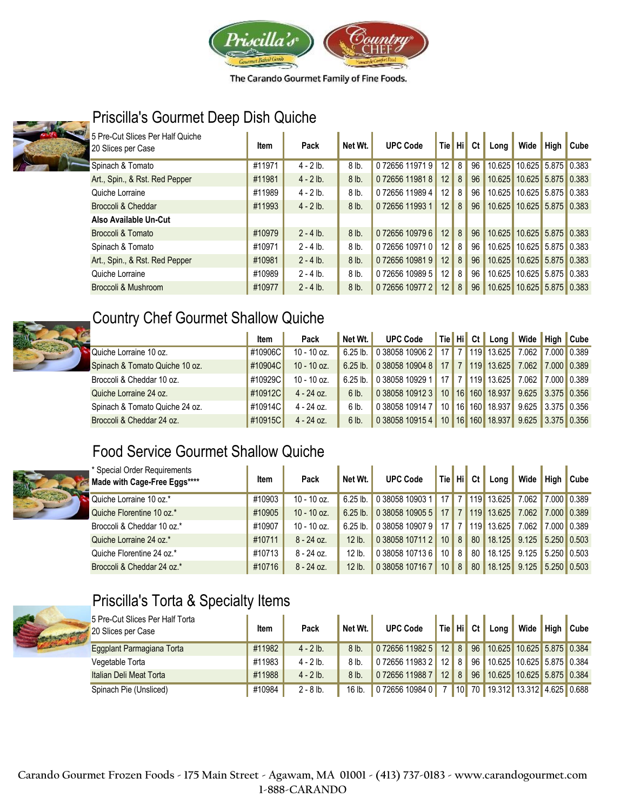



## Priscilla's Gourmet Deep Dish Quiche

| 5 Pre-Cut Slices Per Half Quiche<br>20 Slices per Case | Item   | Pack        | Net Wt.         | <b>UPC Code</b> | <b>Tie</b>        | ' Hi <mark>¦</mark> | Ct              | Long   | Wide                      | High | <b>Cube</b> |
|--------------------------------------------------------|--------|-------------|-----------------|-----------------|-------------------|---------------------|-----------------|--------|---------------------------|------|-------------|
| Spinach & Tomato                                       | #11971 | $4 - 2 lb.$ | 8 <sub>lb</sub> | 072656119719    | 12                | 8                   | 96              |        | 10.625 10.625 5.875 0.383 |      |             |
| Art., Spin., & Rst. Red Pepper                         | #11981 | $4 - 2 lb.$ | 8 lb.           | 072656119818    | 12                | 8                   | 96 <sup>1</sup> |        | 10.625 10.625 5.875 0.383 |      |             |
| Quiche Lorraine                                        | #11989 | $4 - 2 lb.$ | 8 lb.           | 0 72656 11989 4 | $12 \overline{ }$ | 8                   | 96              | 10.625 | 10.625 5.875 0.383        |      |             |
| Broccoli & Cheddar                                     | #11993 | $4 - 2 lb.$ | 8 lb.           | 0 72656 11993 1 | 12                | 8                   | 96              | 10.625 | 10.625 5.875 0.383        |      |             |
| Also Available Un-Cut                                  |        |             |                 |                 |                   |                     |                 |        |                           |      |             |
| Broccoli & Tomato                                      | #10979 | $2 - 4$ lb. | 8 lb.           | 072656109796    | 12                | $\delta$            | 96              | 10.625 | 10.625 5.875 0.383        |      |             |
| Spinach & Tomato                                       | #10971 | $2 - 4$ lb. | 8 <sub>lb</sub> | 0 72656 10971 0 | 12                | 8                   | 96              | 10.625 | 10.625 5.875 0.383        |      |             |
| Art., Spin., & Rst. Red Pepper                         | #10981 | $2 - 4$ lb. | 8 lb.           | 072656109819    | 12                | 8                   | 96              | 10.625 | 10.625 5.875 0.383        |      |             |
| Quiche Lorraine                                        | #10989 | $2 - 4$ lb. | 8 lb.           | 072656109895    | 12                | 8                   | 96              | 10.625 | 10.625 5.875 0.383        |      |             |
| Broccoli & Mushroom                                    | #10977 | $2 - 4$ lb. | 8 lb.           | 072656109772    | 12                | $\delta$            | 96              |        | 10.625 10.625 5.875 0.383 |      |             |



#### Country Chef Gourmet Shallow Quiche

|                                | Item    | Pack          | Net Wt.    | UPC Code   Tie   Hi   Ct   Long   Wide   High   Cube |    |  |                                   |                     |  |
|--------------------------------|---------|---------------|------------|------------------------------------------------------|----|--|-----------------------------------|---------------------|--|
| Quiche Lorraine 10 oz.         | #10906C | $10 - 10$ oz. | $6.25$ lb. | 0 38058 10906 2 17 7 119 13.625                      |    |  |                                   | 7.062 7.000 0.389   |  |
| Spinach & Tomato Quiche 10 oz. | #10904C | $10 - 10$ oz. | $6.25$ lb. | 0 38058 10904 8                                      |    |  | 17 7 119 13.625 7.062 7.000 0.389 |                     |  |
| Broccoli & Cheddar 10 oz.      | #10929C | $10 - 10$ oz. | $6.25$ lb. | 0 38058 10929 1                                      |    |  | 17 7 119 13.625                   | 7.062 7.000 0.389   |  |
| Quiche Lorraine 24 oz.         | #10912C | $4 - 24$ oz.  | 6 lb.      | 0 38058 10912 3                                      |    |  | 10 16 160 18.937                  | $9.625$ 3.375 0.356 |  |
| Spinach & Tomato Quiche 24 oz. | #10914C | $4 - 24$ oz.  | 6 lb.      | 0 38058 10914 7                                      |    |  | 10 16 160 18.937                  | $9.625$ 3.375 0.356 |  |
| Broccoli & Cheddar 24 oz.      | #10915C | $4 - 24$ oz.  | 6 lb.      | 0.38058109154                                        | 10 |  | 16 160 18.937                     | 9.625 3.375 0.356   |  |

### Food Service Gourmet Shallow Quiche



| * Special Order Requirements<br>Made with Cage-Free Eggs**** | Item   | Pack          | Net Wt.    | <b>UPC Code</b>          | Tie Hi |                | Ct l | Lona       | Wide                | High                    | Cube        |
|--------------------------------------------------------------|--------|---------------|------------|--------------------------|--------|----------------|------|------------|---------------------|-------------------------|-------------|
| Quiche Lorraine 10 oz.*                                      | #10903 | $10 - 10$ oz. |            | 6.25 lb. 0 38058 10903 1 | 17     |                |      | 119 13.625 | 7.062               | <b>7.000 0.389</b>      |             |
| Quiche Florentine 10 oz.*                                    | #10905 | 10 - 10 oz.   | $6.25$ lb. | 0 38058 10905 5          | 17     | $\overline{7}$ | 119  | 13.625     | 7.062               |                         | 7.000 0.389 |
| Broccoli & Cheddar 10 oz.*                                   | #10907 | $10 - 10$ oz. | $6.25$ lb. | 0 38058 10907 9          | 17     |                | 119  | 13.625     | 7.062               |                         | 7.000 0.389 |
| Quiche Lorraine 24 oz.*                                      | #10711 | $8 - 24$ oz.  | $12$ lb.   | 0 38058 10711 2          | 10     | 8              | 80   | 18.125     | 9.125               | $\parallel$ 5.250 0.503 |             |
| Quiche Florentine 24 oz.*                                    | #10713 | $8 - 24$ oz.  | $12$ lb.   | 0 38058 10713 6          | 10     | 8              | 80   | 18.125     | 9.125               | $\parallel$ 5.250 0.503 |             |
| Broccoli & Cheddar 24 oz.*                                   | #10716 | $8 - 24$ oz.  | 12 lb.     | 0 38058 10716 7          | 10     | 8              | 80   | 18.125     | $9.125$ 5.250 0.503 |                         |             |



# Priscilla's Torta & Specialty Items

| 5 Pre-Cut Slices Per Half Torta<br>20 Slices per Case | ltem   | Pack        | Net Wt.         | <b>UPC Code</b> |                 |                | Tie Hi Ct                                 | Long <sub>1</sub>            | Wide | <b>High</b> Cube |
|-------------------------------------------------------|--------|-------------|-----------------|-----------------|-----------------|----------------|-------------------------------------------|------------------------------|------|------------------|
| Eggplant Parmagiana Torta                             | #11982 | $4 - 2 lb.$ | 8 <sub>lb</sub> | 072656119825    |                 | $12$ 8         |                                           | 96 10.625 10.625 5.875 0.384 |      |                  |
| Vegetable Torta                                       | #11983 | $4 - 2 lb.$ | 8 lb.           | 072656119832    |                 | $12$ 8         | 96                                        | 10.625 10.625 5.875 0.384    |      |                  |
| Italian Deli Meat Torta                               | #11988 | $4 - 2 lb.$ | 8 <sub>lb</sub> | 072656119887    | 12 <sup>1</sup> | 8 <sup>1</sup> | 96                                        | 10.625 10.625 5.875 0.384    |      |                  |
| Spinach Pie (Unsliced)                                | #10984 | $2 - 8$ lb. | $16$ lb.        | 072656109840    |                 |                | $\parallel$ 10 $\parallel$ 70 $\parallel$ | 19.312 13.312 4.625 0.688    |      |                  |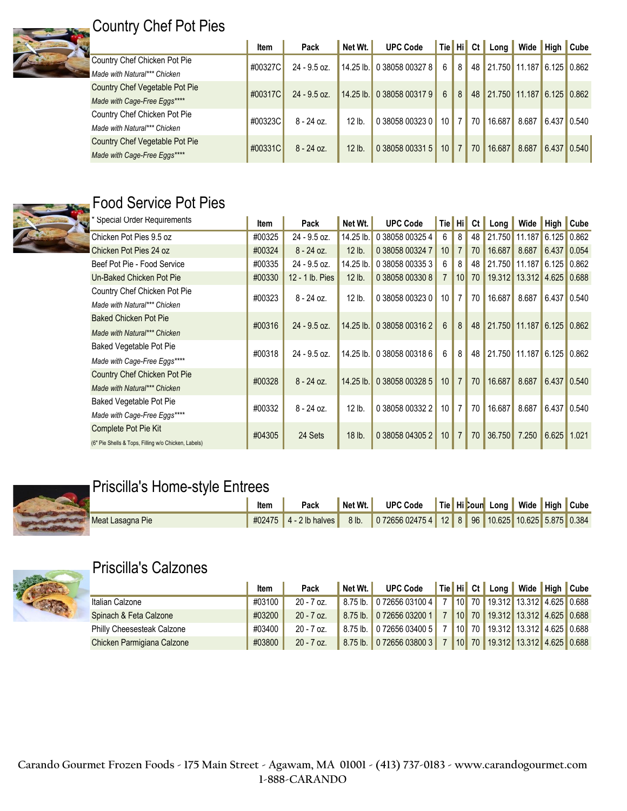

# Country Chef Pot Pies

|                                | Item    | Pack           | Net Wt. | <b>UPC Code</b>           |                  |                  |                 | Tie Hi Ct Long Wide High Cube |       |                                 |  |
|--------------------------------|---------|----------------|---------|---------------------------|------------------|------------------|-----------------|-------------------------------|-------|---------------------------------|--|
| Country Chef Chicken Pot Pie   | #00327C | $24 - 9.5$ oz. |         | 14.25 lb. 0 38058 00327 8 | 6                | 8 <sup>1</sup>   |                 | 48 21.750 11.187 6.125 0.862  |       |                                 |  |
| Made with Natural*** Chicken   |         |                |         |                           |                  |                  |                 |                               |       |                                 |  |
| Country Chef Vegetable Pot Pie | #00317C | $24 - 9.5$ oz. |         | 14.25 lb. 0 38058 00317 9 | $6 \overline{6}$ | 8 <sup>1</sup>   |                 | 48 21.750 11.187 6.125 0.862  |       |                                 |  |
| Made with Cage-Free Eggs****   |         |                |         |                           |                  |                  |                 |                               |       |                                 |  |
| Country Chef Chicken Pot Pie   | #00323C | $8 - 24$ oz.   | 12 lb.  | 0 38058 00323 0           |                  | $10$ 7           |                 | 70 16.687 8.687 6.437 0.540   |       |                                 |  |
| Made with Natural*** Chicken   |         |                |         |                           |                  |                  |                 |                               |       |                                 |  |
| Country Chef Vegetable Pot Pie | #00331C |                | 12 lb.  | 0 38058 00331 5           | 10 <sup>1</sup>  | $\left 7\right $ | 70 <sup>1</sup> | 16.687                        |       |                                 |  |
| Made with Cage-Free Eggs****   |         | $8 - 24$ oz.   |         |                           |                  |                  |                 |                               | 8.687 | $\vert 6.437 \vert 0.540 \vert$ |  |



# Food Service Pot Pies

| * Special Order Requirements                        | ltem   | Pack            | Net Wt.     | <b>UPC Code</b> | Tie Hi          |                | Ct | $Long \parallel$ | Wide High Cube            |       |       |
|-----------------------------------------------------|--------|-----------------|-------------|-----------------|-----------------|----------------|----|------------------|---------------------------|-------|-------|
| Chicken Pot Pies 9.5 oz                             | #00325 | $24 - 9.5$ oz.  | 14.25 lb.   | 0 38058 00325 4 | 6               | 8              | 48 | 21.750           | 11.187                    | 6.125 | 0.862 |
| Chicken Pot Pies 24 oz                              | #00324 | $8 - 24$ oz.    | 12 lb.      | 0 38058 00324 7 | 10 <sup>°</sup> | $\overline{7}$ | 70 | 16.687           | 8.687                     | 6.437 | 0.054 |
| Beef Pot Pie - Food Service                         | #00335 | 24 - 9.5 oz.    | 14.25 lb.   | 0 38058 00335 3 | 6               | 8              | 48 | 21.750           | 11.187                    | 6.125 | 0.862 |
| Un-Baked Chicken Pot Pie                            | #00330 | 12 - 1 lb. Pies | 12 lb.      | 0 38058 00330 8 | $\overline{7}$  | 10             | 70 | 19.312           | 13.312                    | 4.625 | 0.688 |
| Country Chef Chicken Pot Pie                        | #00323 | $8 - 24$ oz.    | 12 lb.      | 0 38058 00323 0 | 10 <sup>1</sup> | $\overline{7}$ | 70 | 16.687           | 8.687                     | 6.437 | 0.540 |
| Made with Natural*** Chicken                        |        |                 |             |                 |                 |                |    |                  |                           |       |       |
| <b>Baked Chicken Pot Pie</b>                        | #00316 | $24 - 9.5$ oz.  | 14.25 lb.   | 0 38058 00316 2 | 6               | 8              | 48 |                  | 21.750 11.187 6.125 0.862 |       |       |
| Made with Natural*** Chicken                        |        |                 |             |                 |                 |                |    |                  |                           |       |       |
| Baked Vegetable Pot Pie                             |        |                 |             |                 | 6               | 8              | 48 |                  |                           |       |       |
| Made with Cage-Free Eggs****                        | #00318 | 24 - 9.5 oz.    | 14.25 lb.   | 0 38058 00318 6 |                 |                |    |                  | 21.750 11.187             | 6.125 | 0.862 |
| Country Chef Chicken Pot Pie                        |        |                 |             |                 |                 | $\overline{7}$ | 70 |                  |                           |       |       |
| Made with Natural*** Chicken                        | #00328 | $8 - 24$ oz.    | $14.25$ lb. | 0 38058 00328 5 | 10 <sup>1</sup> |                |    | 16.687           | 8.687                     | 6.437 | 0.540 |
| Baked Vegetable Pot Pie                             |        |                 |             |                 |                 | $\overline{7}$ | 70 |                  |                           |       |       |
| Made with Cage-Free Eggs****                        | #00332 | $8 - 24$ oz.    | 12 lb.      | 0 38058 00332 2 | 10              |                |    | 16.687           | 8.687                     | 6.437 | 0.540 |
| Complete Pot Pie Kit                                | #04305 | 24 Sets         | 18 lb.      | 0 38058 04305 2 | 10 <sup>1</sup> | $\overline{7}$ | 70 | 36.750           | 7.250                     | 6.625 | 1.021 |
| (6" Pie Shells & Tops, Filling w/o Chicken, Labels) |        |                 |             |                 |                 |                |    |                  |                           |       |       |

#### **Priscilla's Home-style Entrees**

|                  | Item | Pack | $\blacksquare$ Net Wt. | UPC Code   Tie   Hi Cour Long   Wide   High   Cube                             |  |  |  |  |
|------------------|------|------|------------------------|--------------------------------------------------------------------------------|--|--|--|--|
| Meat Lasagna Pie |      |      |                        | #02475 4 - 2 lb halves 8 lb. 0 72656 02475 4 12 8 96 10.625 10.625 5.875 0.384 |  |  |  |  |



## Priscilla's Calzones

|                            | Item   | Pack         | Net Wt. | <b>UPC Code</b>                                            |  | Tie Hi Ct Long Wide High Cube     |  |  |
|----------------------------|--------|--------------|---------|------------------------------------------------------------|--|-----------------------------------|--|--|
| Italian Calzone            | #03100 | $20 - 7$ oz. |         | 8.75 lb. 0 72656 03100 4 7 10 70 19.312 13.312 4.625 0.688 |  |                                   |  |  |
| Spinach & Feta Calzone     | #03200 | $20 - 7$ oz. |         | 8.75 lb. 0 72656 03200 1                                   |  | 7 10 70 19.312 13.312 4.625 0.688 |  |  |
| Philly Cheesesteak Calzone | #03400 | $20 - 7$ oz. |         | 8.75 lb. 0 72656 03400 5                                   |  | 7 10 70 19.312 13.312 4.625 0.688 |  |  |
| Chicken Parmigiana Calzone | #03800 | $20 - 7$ oz. |         | 8.75 lb. 0 72656 03800 3 7                                 |  | 10 70 19.312 13.312 4.625 0.688   |  |  |